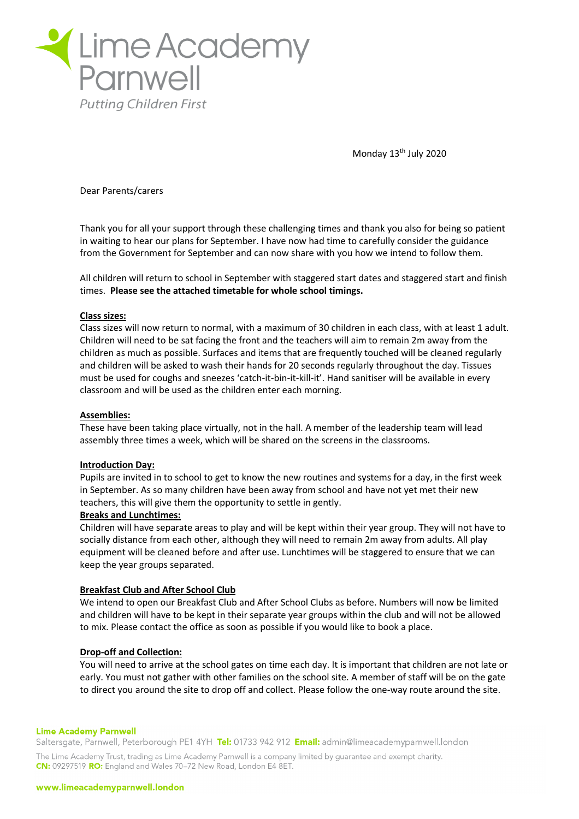

Monday 13<sup>th</sup> July 2020

Dear Parents/carers

Thank you for all your support through these challenging times and thank you also for being so patient in waiting to hear our plans for September. I have now had time to carefully consider the guidance from the Government for September and can now share with you how we intend to follow them.

All children will return to school in September with staggered start dates and staggered start and finish times. **Please see the attached timetable for whole school timings.**

### **Class sizes:**

Class sizes will now return to normal, with a maximum of 30 children in each class, with at least 1 adult. Children will need to be sat facing the front and the teachers will aim to remain 2m away from the children as much as possible. Surfaces and items that are frequently touched will be cleaned regularly and children will be asked to wash their hands for 20 seconds regularly throughout the day. Tissues must be used for coughs and sneezes 'catch-it-bin-it-kill-it'. Hand sanitiser will be available in every classroom and will be used as the children enter each morning.

# **Assemblies:**

These have been taking place virtually, not in the hall. A member of the leadership team will lead assembly three times a week, which will be shared on the screens in the classrooms.

# **Introduction Day:**

Pupils are invited in to school to get to know the new routines and systems for a day, in the first week in September. As so many children have been away from school and have not yet met their new teachers, this will give them the opportunity to settle in gently.

# **Breaks and Lunchtimes:**

Children will have separate areas to play and will be kept within their year group. They will not have to socially distance from each other, although they will need to remain 2m away from adults. All play equipment will be cleaned before and after use. Lunchtimes will be staggered to ensure that we can keep the year groups separated.

# **Breakfast Club and After School Club**

We intend to open our Breakfast Club and After School Clubs as before. Numbers will now be limited and children will have to be kept in their separate year groups within the club and will not be allowed to mix. Please contact the office as soon as possible if you would like to book a place.

# **Drop-off and Collection:**

You will need to arrive at the school gates on time each day. It is important that children are not late or early. You must not gather with other families on the school site. A member of staff will be on the gate to direct you around the site to drop off and collect. Please follow the one-way route around the site.

### **Lime Academy Parnwell**

Saltersgate, Parnwell, Peterborough PE1 4YH Tel: 01733 942 912 Email: admin@limeacademyparnwell.london The Lime Academy Trust, trading as Lime Academy Parnwell is a company limited by quarantee and exempt charity. CN: 09297519 RO: England and Wales 70-72 New Road, London E4 8ET.

#### www.limeacademyparnwell.london